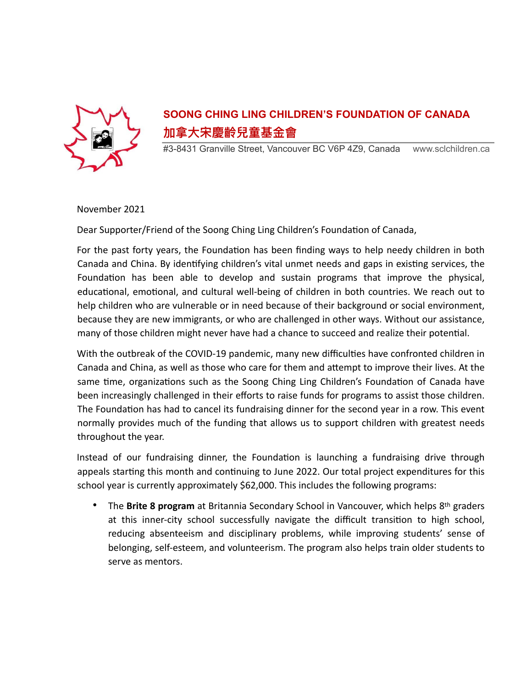

## **SOONG CHING LING CHILDREN'S FOUNDATION OF CANADA 加拿⼤宋慶齡兒童基⾦會**

#3-8431 Granville Street, Vancouver BC V6P 4Z9, Canada www.sclchildren.ca

November 2021

Dear Supporter/Friend of the Soong Ching Ling Children's Foundation of Canada,

For the past forty years, the Foundation has been finding ways to help needy children in both Canada and China. By identifying children's vital unmet needs and gaps in existing services, the Foundation has been able to develop and sustain programs that improve the physical, educational, emotional, and cultural well-being of children in both countries. We reach out to help children who are vulnerable or in need because of their background or social environment, because they are new immigrants, or who are challenged in other ways. Without our assistance, many of those children might never have had a chance to succeed and realize their potential.

With the outbreak of the COVID-19 pandemic, many new difficulties have confronted children in Canada and China, as well as those who care for them and attempt to improve their lives. At the same time, organizations such as the Soong Ching Ling Children's Foundation of Canada have been increasingly challenged in their efforts to raise funds for programs to assist those children. The Foundation has had to cancel its fundraising dinner for the second year in a row. This event normally provides much of the funding that allows us to support children with greatest needs throughout the year.

Instead of our fundraising dinner, the Foundation is launching a fundraising drive through appeals starting this month and continuing to June 2022. Our total project expenditures for this school year is currently approximately \$62,000. This includes the following programs:

• The Brite 8 program at Britannia Secondary School in Vancouver, which helps 8<sup>th</sup> graders at this inner-city school successfully navigate the difficult transition to high school, reducing absenteeism and disciplinary problems, while improving students' sense of belonging, self-esteem, and volunteerism. The program also helps train older students to serve as mentors.